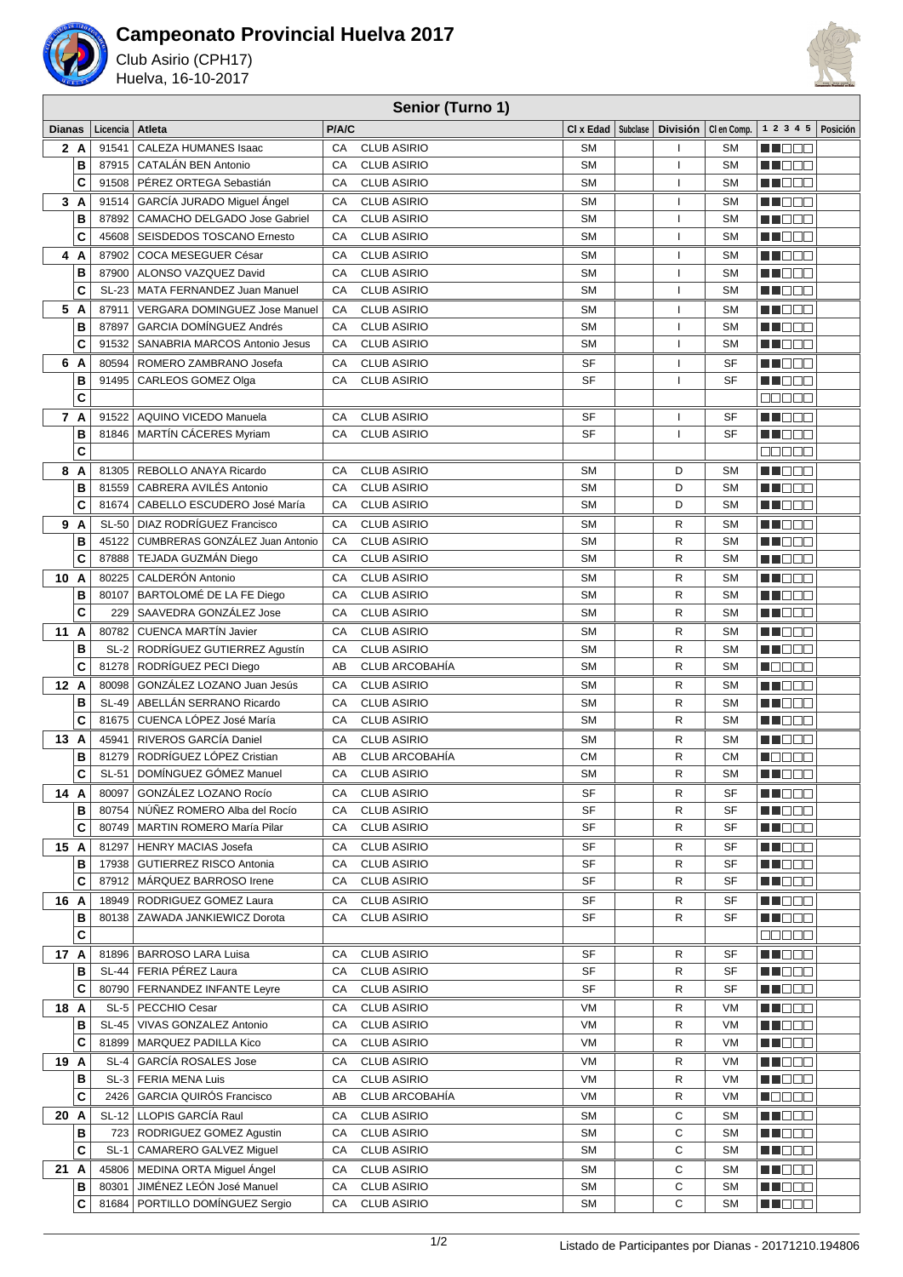

## **Campeonato Provincial Huelva 2017**

Club Asirio (CPH17) Huelva, 16-10-2017



## **Senior (Turno 1)**

| <b>Dianas</b> |   | Licencia     | Atleta                                                           | P/A/C    |                       | CI x Edad   Subclase |                          | División   Clen Comp.  | $1 \t2 \t3 \t4 \t5$ Posición |  |
|---------------|---|--------------|------------------------------------------------------------------|----------|-----------------------|----------------------|--------------------------|------------------------|------------------------------|--|
| 2 A           |   | 91541        | CALEZA HUMANES Isaac                                             | CA       | <b>CLUB ASIRIO</b>    | <b>SM</b>            |                          | <b>SM</b>              | M DE S                       |  |
|               | B | 87915        | CATALÁN BEN Antonio                                              | CA       | <b>CLUB ASIRIO</b>    | <b>SM</b>            | $\mathbf{I}$             | <b>SM</b>              | M DE S                       |  |
|               | C |              | 91508   PÉREZ ORTEGA Sebastián                                   | CA       | <b>CLUB ASIRIO</b>    | <b>SM</b>            | I                        | <b>SM</b>              | M NOOC                       |  |
| 3A            |   | 91514        | GARCÍA JURADO Miquel Ángel                                       | CA       | <b>CLUB ASIRIO</b>    | <b>SM</b>            | $\mathbf{I}$             | <b>SM</b>              | n de s                       |  |
|               | B | 87892        | CAMACHO DELGADO Jose Gabriel                                     | CA       | <b>CLUB ASIRIO</b>    | <b>SM</b>            | $\mathbf{I}$             | <b>SM</b>              | M NO O O                     |  |
|               | C | 45608        | SEISDEDOS TOSCANO Ernesto                                        | CA       | <b>CLUB ASIRIO</b>    | <b>SM</b>            | $\mathbf{I}$             | <b>SM</b>              | M DE B                       |  |
| 4 A           |   | 87902        | COCA MESEGUER César                                              |          | <b>CLUB ASIRIO</b>    | <b>SM</b>            |                          |                        | MN DE B                      |  |
|               | B | 87900        | ALONSO VAZQUEZ David                                             | CA<br>CA | <b>CLUB ASIRIO</b>    | <b>SM</b>            | $\mathbf{I}$             | <b>SM</b><br><b>SM</b> | M NOCI                       |  |
|               | C |              | SL-23   MATA FERNANDEZ Juan Manuel                               | CA       | <b>CLUB ASIRIO</b>    | <b>SM</b>            | -1<br>$\mathbf{I}$       | <b>SM</b>              | MU DO O                      |  |
|               |   |              |                                                                  |          |                       |                      |                          |                        |                              |  |
| 5 A           |   | 87911        | <b>VERGARA DOMINGUEZ Jose Manuel</b>                             | CA       | <b>CLUB ASIRIO</b>    | <b>SM</b>            | -1                       | <b>SM</b>              | M DOO                        |  |
|               | B | 87897        | <b>GARCIA DOMÍNGUEZ Andrés</b>                                   | CA       | <b>CLUB ASIRIO</b>    | <b>SM</b>            | $\overline{\phantom{a}}$ | <b>SM</b>              | n i BBC                      |  |
|               | C | 91532        | SANABRIA MARCOS Antonio Jesus                                    | CA       | <b>CLUB ASIRIO</b>    | <b>SM</b>            | $\mathbf{I}$             | <b>SM</b>              | <u>sa se e</u>               |  |
| 6<br>A        |   | 80594        | ROMERO ZAMBRANO Josefa                                           | CA       | <b>CLUB ASIRIO</b>    | SF                   | $\mathbf{I}$             | SF                     | a de El                      |  |
|               | B | 91495        | CARLEOS GOMEZ Olga                                               | CA       | <b>CLUB ASIRIO</b>    | SF                   |                          | SF                     | a de e                       |  |
|               | C |              |                                                                  |          |                       |                      |                          |                        | anaan                        |  |
| 7 A           |   |              | 91522   AQUINO VICEDO Manuela                                    | CA       | <b>CLUB ASIRIO</b>    | SF                   |                          | SF                     | M NOOC                       |  |
|               | B |              | 81846   MARTÍN CÁCERES Myriam                                    | CA       | <b>CLUB ASIRIO</b>    | <b>SF</b>            | I                        | <b>SF</b>              | MA DE O                      |  |
|               | C |              |                                                                  |          |                       |                      |                          |                        | an a sh                      |  |
| 8<br>A        |   |              | 81305   REBOLLO ANAYA Ricardo                                    | CA       | <b>CLUB ASIRIO</b>    | <b>SM</b>            | D                        | <b>SM</b>              | MU DE B                      |  |
|               | B |              | 81559   CABRERA AVILÉS Antonio                                   | CA       | <b>CLUB ASIRIO</b>    | <b>SM</b>            | D                        | <b>SM</b>              | MU OO O                      |  |
|               | C | 81674        | CABELLO ESCUDERO José María                                      | CA       | <b>CLUB ASIRIO</b>    | <b>SM</b>            | D                        | <b>SM</b>              | n i Bibli                    |  |
| 9 A           |   |              | SL-50   DIAZ RODRÍGUEZ Francisco                                 | CA       | <b>CLUB ASIRIO</b>    | <b>SM</b>            | R                        | <b>SM</b>              | M NOOC                       |  |
|               | B | 45122        | CUMBRERAS GONZÁLEZ Juan Antonio                                  | CA       | <b>CLUB ASIRIO</b>    | <b>SM</b>            | R                        | <b>SM</b>              | an de d                      |  |
|               | C | 87888        | TEJADA GUZMÁN Diego                                              | CA       | <b>CLUB ASIRIO</b>    | <b>SM</b>            | R                        | <b>SM</b>              | MU LI LI                     |  |
| 10 A          |   |              | 80225 CALDERÓN Antonio                                           | CA       | <b>CLUB ASIRIO</b>    | <b>SM</b>            | R                        | <b>SM</b>              | a de e                       |  |
|               | в | 80107        | BARTOLOMÉ DE LA FE Diego                                         | CA       | <b>CLUB ASIRIO</b>    | <b>SM</b>            | R                        | <b>SM</b>              | MU O O O                     |  |
|               | C | 229          | SAAVEDRA GONZÁLEZ Jose                                           | CA       | <b>CLUB ASIRIO</b>    | <b>SM</b>            | $\mathsf{R}$             | <b>SM</b>              | a de e                       |  |
| 11A           |   | 80782        | <b>CUENCA MARTÍN Javier</b>                                      | CA       | <b>CLUB ASIRIO</b>    | <b>SM</b>            | R                        | <b>SM</b>              | MA OO B                      |  |
|               | B |              | SL-2   RODRÍGUEZ GUTIERREZ Agustín                               | CA       | <b>CLUB ASIRIO</b>    | <b>SM</b>            | $\mathsf{R}$             | <b>SM</b>              | n i Else                     |  |
|               | Ć |              | 81278   RODRÍGUEZ PECI Diego                                     | AB       | CLUB ARCOBAHÍA        | <b>SM</b>            | R                        | <b>SM</b>              | NO DE O                      |  |
| 12 A          |   |              | 80098   GONZÁLEZ LOZANO Juan Jesús                               | CA       | <b>CLUB ASIRIO</b>    | <b>SM</b>            | R                        | <b>SM</b>              | M DO O                       |  |
|               | B | <b>SL-49</b> | ABELLÁN SERRANO Ricardo                                          | CA       | <b>CLUB ASIRIO</b>    | <b>SM</b>            | R                        | <b>SM</b>              | M S S S S                    |  |
|               | Ċ | 81675        | CUENCA LÓPEZ José María                                          | CA       | <b>CLUB ASIRIO</b>    | <b>SM</b>            | R                        | <b>SM</b>              | MU DO O                      |  |
| 13<br>A       |   | 45941        | RIVEROS GARCÍA Daniel                                            | CA       | <b>CLUB ASIRIO</b>    | <b>SM</b>            | R                        | <b>SM</b>              | M NO SO                      |  |
|               | в | 81279        | RODRÍGUEZ LÓPEZ Cristian                                         | AB       | <b>CLUB ARCOBAHÍA</b> | <b>CM</b>            | R                        | <b>CM</b>              | N DE E E                     |  |
|               | C | SL-51        | DOMÍNGUEZ GÓMEZ Manuel                                           | CA       | <b>CLUB ASIRIO</b>    | <b>SM</b>            | R                        | <b>SM</b>              | MU DE O                      |  |
|               |   |              |                                                                  |          |                       | <b>SF</b>            | R                        | <b>SF</b>              | MN 888                       |  |
| 14 A          |   |              | 80097 GONZÁLEZ LOZANO Rocío                                      | CA       | <b>CLUB ASIRIO</b>    | SF                   |                          |                        |                              |  |
|               | в | 80754        | NÚÑEZ ROMERO Alba del Rocío<br>80749   MARTIN ROMERO María Pilar | CA<br>CA | <b>CLUB ASIRIO</b>    | SF                   | R                        | SF                     | MU DO O                      |  |
|               | C |              |                                                                  |          | <b>CLUB ASIRIO</b>    |                      | R                        | SF                     | M NO O O                     |  |
| 15 A          |   |              | 81297   HENRY MACIAS Josefa                                      | СA       | <b>CLUB ASIRIO</b>    | SF                   | R                        | SF                     | <b>RECOO</b>                 |  |
|               | в |              | 17938   GUTIERREZ RISCO Antonia                                  | CA       | <b>CLUB ASIRIO</b>    | SF                   | R                        | SF                     | M DO D                       |  |
|               | C |              | 87912   MARQUEZ BARROSO Irene                                    | CA       | <b>CLUB ASIRIO</b>    | SF                   | R                        | SF                     | M TOO O                      |  |
| 16 A          |   |              | 18949   RODRIGUEZ GOMEZ Laura                                    | СA       | <b>CLUB ASIRIO</b>    | SF                   | R                        | SF                     | M NO O O                     |  |
|               | в |              | 80138   ZAWADA JANKIEWICZ Dorota                                 | CA       | <b>CLUB ASIRIO</b>    | SF                   | R                        | SF                     | M I D O O                    |  |
|               | C |              |                                                                  |          |                       |                      |                          |                        | كاكاكاكا                     |  |
| 17 A          |   |              | 81896   BARROSO LARA Luisa                                       | СA       | <b>CLUB ASIRIO</b>    | SF                   | R                        | SF                     | M DOO                        |  |
|               | В |              | SL-44   FERIA PÉREZ Laura                                        | CA       | <b>CLUB ASIRIO</b>    | SF                   | R                        | SF                     | <u> Historia </u>            |  |
|               | C |              | 80790   FERNANDEZ INFANTE Leyre                                  | CA       | <b>CLUB ASIRIO</b>    | SF                   | R                        | SF                     | MU DO C                      |  |
| 18 A          |   |              | SL-5   PECCHIO Cesar                                             | СA       | <b>CLUB ASIRIO</b>    | VM                   | R                        | VM                     | WO OO                        |  |
|               | В |              | SL-45   VIVAS GONZALEZ Antonio                                   | CA       | <b>CLUB ASIRIO</b>    | VM                   | R                        | VM                     | M NO O O                     |  |
|               | C |              | 81899   MARQUEZ PADILLA Kico                                     | CA       | <b>CLUB ASIRIO</b>    | VM                   | R                        | VM                     | M DO D                       |  |
| 19 A          |   |              | SL-4 GARCÍA ROSALES Jose                                         | CA       | <b>CLUB ASIRIO</b>    | VM                   | R                        | VM                     | MU DO O                      |  |
|               | в |              | SL-3   FERIA MENA Luis                                           | CA       | <b>CLUB ASIRIO</b>    | VM                   | R                        | VM                     | <u> Historia e pro</u>       |  |
|               | C |              | 2426   GARCIA QUIROS Francisco                                   | AB       | CLUB ARCOBAHÍA        | VM                   | R                        | VM                     | Maaaa                        |  |
| 20 A          |   |              | SL-12 LLOPIS GARCÍA Raul                                         | CA       | <b>CLUB ASIRIO</b>    | <b>SM</b>            | С                        | <b>SM</b>              | MU OOO                       |  |
|               | в |              | 723   RODRIGUEZ GOMEZ Agustin                                    | CA       | <b>CLUB ASIRIO</b>    | <b>SM</b>            | C                        | <b>SM</b>              | MI DE S                      |  |
|               | C |              | SL-1   CAMARERO GALVEZ Miguel                                    | CA       | <b>CLUB ASIRIO</b>    | <b>SM</b>            | C                        | <b>SM</b>              | <b>RECOD</b>                 |  |
| 21 A          |   |              | 45806   MEDINA ORTA Miguel Angel                                 | CA       | <b>CLUB ASIRIO</b>    | SΜ                   | C                        | <b>SM</b>              | <u> Hees</u>                 |  |
|               | в | 80301        | JIMÉNEZ LEÓN José Manuel                                         | CA       | <b>CLUB ASIRIO</b>    | <b>SM</b>            | C                        | <b>SM</b>              | M DOO                        |  |
|               | C |              | 81684   PORTILLO DOMÍNGUEZ Sergio                                | CA       | <b>CLUB ASIRIO</b>    | SΜ                   | C                        | <b>SM</b>              | M DE E                       |  |
|               |   |              |                                                                  |          |                       |                      |                          |                        |                              |  |